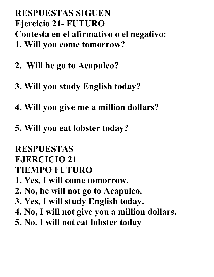## **RESPUESTAS SIGUEN Ejercicio 21- FUTURO Contesta en el afirmativo o el negativo: 1. Will you come tomorrow?**

- **2. Will he go to Acapulco?**
- **3. Will you study English today?**
- **4. Will you give me a million dollars?**
- **5. Will you eat lobster today?**

# **RESPUESTAS**

# **EJERCICIO 21**

# **TIEMPO FUTURO**

- **1. Yes, I will come tomorrow.**
- **2. No, he will not go to Acapulco.**
- **3. Yes, I will study English today.**
- **4. No, I will not give you a million dollars.**
- **5. No, I will not eat lobster today**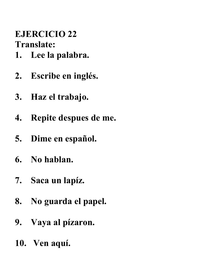#### **EJERCICIO 22 Translate:**

- **1. Lee la palabra.**
- **2. Escribe en inglés.**
- **3. Haz el trabajo.**
- **4. Repite despues de me.**
- **5. Dime en español.**
- **6. No hablan.**
- **7. Saca un lapíz.**
- **8. No guarda el papel.**
- **9. Vaya al pízaron.**
- **10. Ven aquí.**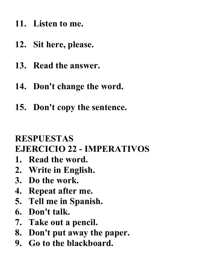- **11. Listen to me.**
- **12. Sit here, please.**
- **13. Read the answer.**
- **14. Don't change the word.**
- **15. Don't copy the sentence.**

# **RESPUESTAS EJERCICIO 22 - IMPERATIVOS**

- **1. Read the word.**
- **2. Write in English.**
- **3. Do the work.**
- **4. Repeat after me.**
- **5. Tell me in Spanish.**
- **6. Don't talk.**
- **7. Take out a pencil.**
- **8. Don't put away the paper.**
- **9. Go to the blackboard.**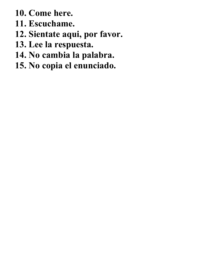- **10. Come here.**
- **11. Escuchame.**
- **12. Sientate aqui, por favor.**
- **13. Lee la respuesta.**
- **14. No cambia la palabra.**
- **15. No copia el enunciado.**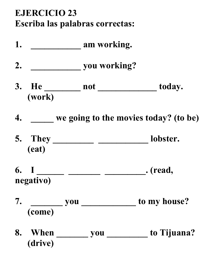# **EJERCICIO 23 Escriba las palabras correctas:**

**1. \_\_\_\_\_\_\_\_\_\_\_ am working. 2. \_\_\_\_\_\_\_\_\_\_\_ you working? 3. He \_\_\_\_\_\_\_\_ not \_\_\_\_\_\_\_\_\_\_\_\_\_ today. (work) 4. \_\_\_\_\_ we going to the movies today? (to be) 5. They \_\_\_\_\_\_\_\_\_ \_\_\_\_\_\_\_\_\_\_\_ lobster. (eat) 6. I \_\_\_\_\_\_ \_\_\_\_\_\_\_ \_\_\_\_\_\_\_\_\_. (read, negativo) 7. \_\_\_\_\_\_\_ you \_\_\_\_\_\_\_\_\_\_\_\_ to my house? (come) 8. When \_\_\_\_\_\_\_ you \_\_\_\_\_\_\_\_\_ to Tijuana? (drive)**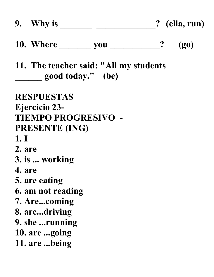|        |                       |                                                                  |  | $(g_0)$ |  |
|--------|-----------------------|------------------------------------------------------------------|--|---------|--|
|        |                       | 11. The teacher said: "All my students ____<br>good today." (be) |  |         |  |
|        | <b>RESPUESTAS</b>     |                                                                  |  |         |  |
|        | <b>Ejercicio 23-</b>  |                                                                  |  |         |  |
|        |                       | <b>TIEMPO PROGRESIVO -</b>                                       |  |         |  |
|        | <b>PRESENTE (ING)</b> |                                                                  |  |         |  |
| 1.1    |                       |                                                                  |  |         |  |
| 2. are |                       |                                                                  |  |         |  |
|        | 3. is  working        |                                                                  |  |         |  |
| 4. are |                       |                                                                  |  |         |  |
|        | 5. are eating         |                                                                  |  |         |  |
|        | 6. am not reading     |                                                                  |  |         |  |
|        | 7. Arecoming          |                                                                  |  |         |  |
|        | 8. aredriving         |                                                                  |  |         |  |
|        | 9. she running        |                                                                  |  |         |  |
|        | 10. are going         |                                                                  |  |         |  |
|        | 11. are being         |                                                                  |  |         |  |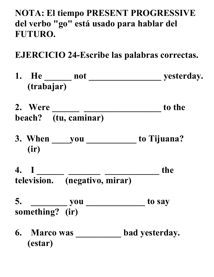**NOTA: El tiempo PRESENT PROGRESSIVE del verbo "go" está usado para hablar del FUTURO.**

**EJERCICIO 24-Escribe las palabras correctas.**

**1. He \_\_\_\_\_\_ not \_\_\_\_\_\_\_\_\_\_\_\_\_\_\_\_ yesterday. (trabajar)** 2. Were <u>\_\_\_\_\_\_\_\_\_\_\_\_\_\_\_\_\_\_\_\_\_\_\_\_\_\_\_</u> to the **beach? (tu, caminar) 3. When \_\_\_\_you \_\_\_\_\_\_\_\_\_\_\_ to Tijuana? (ir) 4. I \_\_\_\_\_\_ \_\_\_\_\_\_\_ \_\_\_\_\_\_\_\_\_\_\_\_ the television. (negativo, mirar) 5. \_\_\_\_\_\_\_\_ you \_\_\_\_\_\_\_\_\_\_\_\_\_ to say something? (ir) 6. Marco was \_\_\_\_\_\_\_\_\_\_ bad yesterday. (estar)**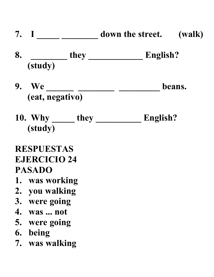- **7. I \_\_\_\_\_ \_\_\_\_\_\_\_\_ down the street. (walk)**
- **8. \_\_\_\_\_\_\_\_ they \_\_\_\_\_\_\_\_\_\_\_\_ English? (study)**
- 9. We \_\_\_\_\_\_\_\_ \_\_\_\_\_\_\_\_\_\_ \_\_\_\_\_\_\_\_\_ beans. **(eat, negativo)**
- **10. Why \_\_\_\_\_ they \_\_\_\_\_\_\_\_\_\_ English? (study)**

# **RESPUESTAS EJERCICIO 24 PASADO**

- **1. was working**
- **2. you walking**
- **3. were going**
- **4. was ... not**
- **5. were going**
- **6. being**
- **7. was walking**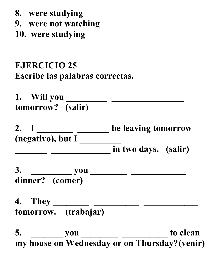- **8. were studying**
- **9. were not watching**
- **10. were studying**

## **EJERCICIO 25 Escribe las palabras correctas.**

**1. Will you \_\_\_\_\_\_\_\_\_ \_\_\_\_\_\_\_\_\_\_\_\_\_\_\_\_ tomorrow? (salir)**

2. I \_\_\_\_\_\_\_\_\_ \_\_\_\_\_\_ be leaving tomorrow **(negativo), but I \_\_\_\_\_\_\_\_\_ \_\_\_\_\_\_\_ \_\_\_\_\_\_\_\_\_\_\_\_\_ in two days. (salir)**

**3. \_\_\_\_\_\_\_\_\_ you \_\_\_\_\_\_\_\_ \_\_\_\_\_\_\_\_\_\_\_\_ dinner? (comer)**

**4. They \_\_\_\_\_\_\_\_ \_\_\_\_\_\_\_\_\_\_ \_\_\_\_\_\_\_\_\_\_\_\_ tomorrow. (trabajar)**

5. \_\_\_\_\_\_\_\_\_ you \_\_\_\_\_\_\_\_\_\_\_\_ \_\_\_\_\_\_\_\_\_\_\_ to clean **my house on Wednesday or on Thursday?(venir)**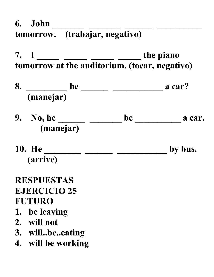**6.** John \_\_\_\_\_\_\_ \_\_\_\_\_\_ \_\_\_\_\_\_ \_\_\_\_\_\_\_\_\_ **tomorrow. (trabajar, negativo)**

**7. I \_\_\_\_\_ \_\_\_\_\_ \_\_\_\_\_ \_\_\_\_\_ the piano tomorrow at the auditorium. (tocar, negativo)**

- **8. \_\_\_\_\_\_\_\_\_ he \_\_\_\_\_\_ \_\_\_\_\_\_\_\_\_\_\_ a car? (manejar)**
- **9.** No, he \_\_\_\_\_\_\_\_\_ \_\_\_\_\_\_\_ be \_\_\_\_\_\_\_\_\_\_\_\_ a car. **(manejar)**
- 10. He \_\_\_\_\_\_\_\_\_\_\_\_\_\_\_\_\_\_\_\_\_\_\_\_\_\_\_\_\_\_\_\_\_\_by bus. **(arrive)**

## **RESPUESTAS EJERCICIO 25 FUTURO**

- **1. be leaving**
- **2. will not**
- **3. will..be..eating**
- **4. will be working**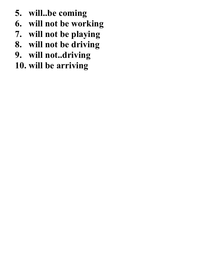- **5. will..be coming**
- **6. will not be working**
- **7. will not be playing**
- **8. will not be driving**
- **9. will not..driving**
- **10. will be arriving**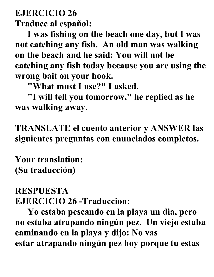# **EJERCICIO 26 Traduce al español:**

**I was fishing on the beach one day, but I was not catching any fish. An old man was walking on the beach and he said: You will not be catching any fish today because you are using the wrong bait on your hook.**

**"What must I use?" I asked.**

**"I will tell you tomorrow," he replied as he was walking away.**

**TRANSLATE el cuento anterior y ANSWER las siguientes preguntas con enunciados completos.**

**Your translation: (Su traducción)**

## **RESPUESTA EJERCICIO 26 -Traduccion:**

**Yo estaba pescando en la playa un dia, pero no estaba atrapando ningún pez. Un viejo estaba caminando en la playa y dijo: No vas estar atrapando ningún pez hoy porque tu estas**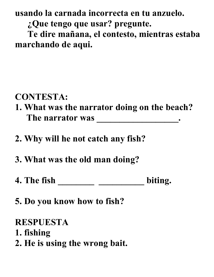**usando la carnada incorrecta en tu anzuelo.**

**¿Que tengo que usar? pregunte.**

**Te dire mañana, el contesto, mientras estaba marchando de aqui.**

## **CONTESTA:**

- **1. What was the narrator doing on the beach?** The narrator was \_\_\_\_\_\_\_\_\_\_\_\_\_\_\_\_\_\_\_\_\_\_.
- **2. Why will he not catch any fish?**
- **3. What was the old man doing?**
- **4. The fish \_\_\_\_\_\_\_\_ \_\_\_\_\_\_\_\_\_\_ biting.**
- **5. Do you know how to fish?**

#### **RESPUESTA**

- **1. fishing**
- **2. He is using the wrong bait.**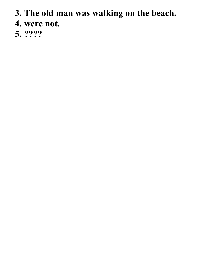- **3. The old man was walking on the beach.**
- **4. were not.**
- **5. ????**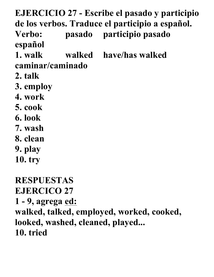**EJERCICIO 27 - Escribe el pasado y participio de los verbos. Traduce el participio a español. Verbo: pasado participio pasado español 1. walk walked have/has walked caminar/caminado 2. talk 3. employ 4. work 5. cook 6. look 7. wash 8. clean 9. play 10. try RESPUESTAS EJERCICO 27 1 - 9, agrega ed: walked, talked, employed, worked, cooked, looked, washed, cleaned, played... 10. tried**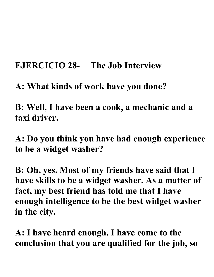## **EJERCICIO 28- The Job Interview**

**A: What kinds of work have you done?**

**B: Well, I have been a cook, a mechanic and a taxi driver.**

**A: Do you think you have had enough experience to be a widget washer?**

**B: Oh, yes. Most of my friends have said that I have skills to be a widget washer. As a matter of fact, my best friend has told me that I have enough intelligence to be the best widget washer in the city.**

**A: I have heard enough. I have come to the conclusion that you are qualified for the job, so**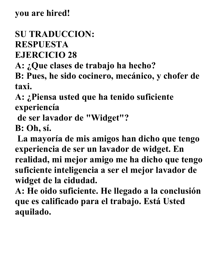# **SU TRADUCCION: RESPUESTA EJERCICIO 28**

**A: ¿Que clases de trabajo ha hecho?** 

**B: Pues, he sido cocinero, mecánico, y chofer de taxi.**

**A: ¿Piensa usted que ha tenido suficiente experiencía**

**de ser lavador de "Widget"?**

**B: Oh, sí.**

**La mayoría de mis amigos han dicho que tengo experiencia de ser un lavador de widget. En realidad, mi mejor amigo me ha dicho que tengo suficiente inteligencia a ser el mejor lavador de widget de la cidudad.**

**A: He oido suficiente. He llegado a la conclusión que es calificado para el trabajo. Está Usted aquilado.**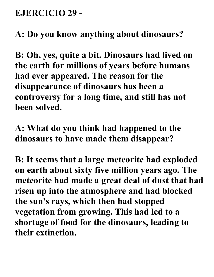## **EJERCICIO 29 -**

**A: Do you know anything about dinosaurs?**

**B: Oh, yes, quite a bit. Dinosaurs had lived on the earth for millions of years before humans had ever appeared. The reason for the disappearance of dinosaurs has been a controversy for a long time, and still has not been solved.**

**A: What do you think had happened to the dinosaurs to have made them disappear?**

**B: It seems that a large meteorite had exploded on earth about sixty five million years ago. The meteorite had made a great deal of dust that had risen up into the atmosphere and had blocked the sun's rays, which then had stopped vegetation from growing. This had led to a shortage of food for the dinosaurs, leading to their extinction.**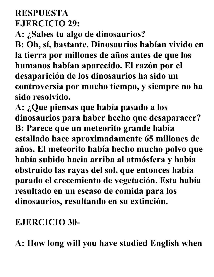# **RESPUESTA EJERCICIO 29:**

**A: ¿Sabes tu algo de dinosaurios?**

**B: Oh, sí, bastante. Dinosaurios habían vivido en la tierra por millones de años antes de que los humanos habían aparecido. El razón por el desaparición de los dinosaurios ha sido un controversia por mucho tiempo, y siempre no ha sido resolvido.**

**A: ¿Que piensas que había pasado a los dinosaurios para haber hecho que desaparacer? B: Parece que un meteorito grande había estallado hace aproximadamente 65 millones de años. El meteorito había hecho mucho polvo que había subido hacia arriba al atmósfera y había obstruido las rayas del sol, que entonces había parado el crecemiento de vegetación. Esta había resultado en un escaso de comida para los dinosaurios, resultando en su extinción.**

# **EJERCICIO 30-**

**A: How long will you have studied English when**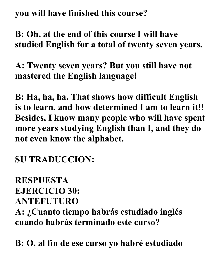**you will have finished this course?**

**B: Oh, at the end of this course I will have studied English for a total of twenty seven years.**

**A: Twenty seven years? But you still have not mastered the English language!**

**B: Ha, ha, ha. That shows how difficult English is to learn, and how determined I am to learn it!! Besides, I know many people who will have spent more years studying English than I, and they do not even know the alphabet.**

**SU TRADUCCION:**

# **RESPUESTA EJERCICIO 30: ANTEFUTURO A: ¿Cuanto tiempo habrás estudiado inglés cuando habrás terminado este curso?**

**B: O, al fin de ese curso yo habré estudiado**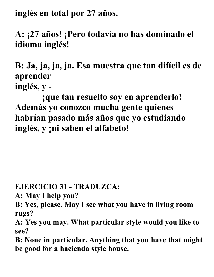**inglés en total por 27 años.**

**A: ¡27 años! ¡Pero todavía no has dominado el idioma inglés!**

**B: Ja, ja, ja, ja. Esa muestra que tan difícil es de aprender inglés, y -**

 **¡que tan resuelto soy en aprenderlo! Además yo conozco mucha gente quienes habrían pasado más años que yo estudiando inglés, y ¡ni saben el alfabeto!**

**EJERCICIO 31 - TRADUZCA:**

**A: May I help you?**

**B: Yes, please. May I see what you have in living room rugs?**

**A: Yes you may. What particular style would you like to see?**

**B: None in particular. Anything that you have that might be good for a hacienda style house.**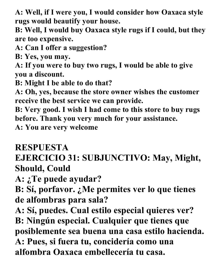**A: Well, if I were you, I would consider how Oaxaca style rugs would beautify your house.**

**B: Well, I would buy Oaxaca style rugs if I could, but they are too expensive.**

**A: Can I offer a suggestion?**

**B: Yes, you may.**

**A: If you were to buy two rugs, I would be able to give you a discount.**

**B: Might I be able to do that?**

**A: Oh, yes, because the store owner wishes the customer receive the best service we can provide.**

**B: Very good. I wish I had come to this store to buy rugs before. Thank you very much for your assistance.**

**A: You are very welcome**

#### **RESPUESTA**

# **EJERCICIO 31: SUBJUNCTIVO: May, Might, Should, Could**

**A: ¿Te puede ayudar?**

**B: Sí, porfavor. ¿Me permites ver lo que tienes de alfombras para sala?**

**A: Sí, puedes. Cual estilo especial quieres ver?**

**B: Ningún especial. Cualquier que tienes que posiblemente sea buena una casa estilo hacienda. A: Pues, si fuera tu, concidería como una alfombra Oaxaca embellecería tu casa.**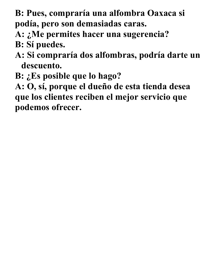- **B: Pues, compraría una alfombra Oaxaca si podía, pero son demasiadas caras.**
- **A: ¿Me permites hacer una sugerencia?**
- **B: Sí puedes.**
- **A: Si compraría dos alfombras, podría darte un descuento.**
- **B: ¿Es posible que lo hago?**

**A: O, sí, porque el dueño de esta tienda desea que los clientes reciben el mejor servicio que podemos ofrecer.**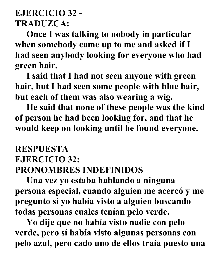# **EJERCICIO 32 - TRADUZCA:**

 **Once I was talking to nobody in particular when somebody came up to me and asked if I had seen anybody looking for everyone who had green hair.**

 **I said that I had not seen anyone with green hair, but I had seen some people with blue hair, but each of them was also wearing a wig.**

 **He said that none of these people was the kind of person he had been looking for, and that he would keep on looking until he found everyone.**

## **RESPUESTA EJERCICIO 32: PRONOMBRES INDEFINIDOS**

 **Una vez yo estaba hablando a ninguna persona especial, cuando alguien me acercó y me pregunto si yo había visto a alguien buscando todas personas cuales tenían pelo verde.**

 **Yo dije que no había visto nadie con pelo verde, pero sí había visto algunas personas con pelo azul, pero cado uno de ellos traía puesto una**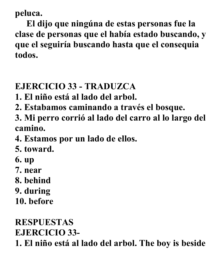**peluca.**

 **El dijo que ningúna de estas personas fue la clase de personas que el había estado buscando, y que el seguiría buscando hasta que el consequia todos.**

# **EJERCICIO 33 - TRADUZCA**

- **1. El niño está al lado del arbol.**
- **2. Estabamos caminando a través el bosque.**
- **3. Mi perro corrió al lado del carro al lo largo del camino.**
- **4. Estamos por un lado de ellos.**
- **5. toward.**
- **6. up**
- **7. near**
- **8. behind**
- **9. during**
- **10. before**

# **RESPUESTAS**

**EJERCICIO 33-**

**1. El niño está al lado del arbol. The boy is beside**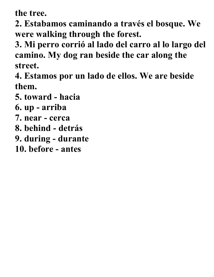**the tree.**

**2. Estabamos caminando a través el bosque. We were walking through the forest.**

**3. Mi perro corrió al lado del carro al lo largo del camino. My dog ran beside the car along the street.**

**4. Estamos por un lado de ellos. We are beside them.**

- **5. toward - hacia**
- **6. up - arriba**
- **7. near - cerca**
- **8. behind - detrás**
- **9. during - durante**
- **10. before - antes**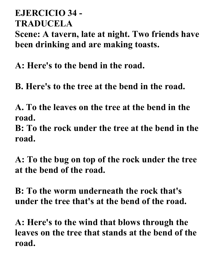#### **EJERCICIO 34 - TRADUCELA**

**Scene: A tavern, late at night. Two friends have been drinking and are making toasts.**

**A: Here's to the bend in the road.**

**B. Here's to the tree at the bend in the road.**

**A. To the leaves on the tree at the bend in the road.**

**B: To the rock under the tree at the bend in the road.**

**A: To the bug on top of the rock under the tree at the bend of the road.**

**B: To the worm underneath the rock that's under the tree that's at the bend of the road.**

**A: Here's to the wind that blows through the leaves on the tree that stands at the bend of the road.**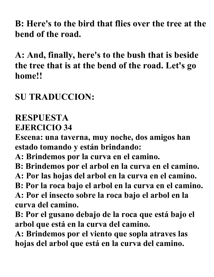**B: Here's to the bird that flies over the tree at the bend of the road.**

**A: And, finally, here's to the bush that is beside the tree that is at the bend of the road. Let's go home!!**

## **SU TRADUCCION:**

# **RESPUESTA**

**EJERCICIO 34**

**Escena: una taverna, muy noche, dos amigos han estado tomando y están brindando:**

- **A: Brindemos por la curva en el camino.**
- **B: Brindemos por el arbol en la curva en el camino.**
- **A: Por las hojas del arbol en la curva en el camino.**
- **B: Por la roca bajo el arbol en la curva en el camino.**
- **A: Por el insecto sobre la roca bajo el arbol en la curva del camino.**
- **B: Por el gusano debajo de la roca que está bajo el arbol que está en la curva del camino.**
- **A: Brindemos por el viento que sopla atraves las hojas del arbol que está en la curva del camino.**